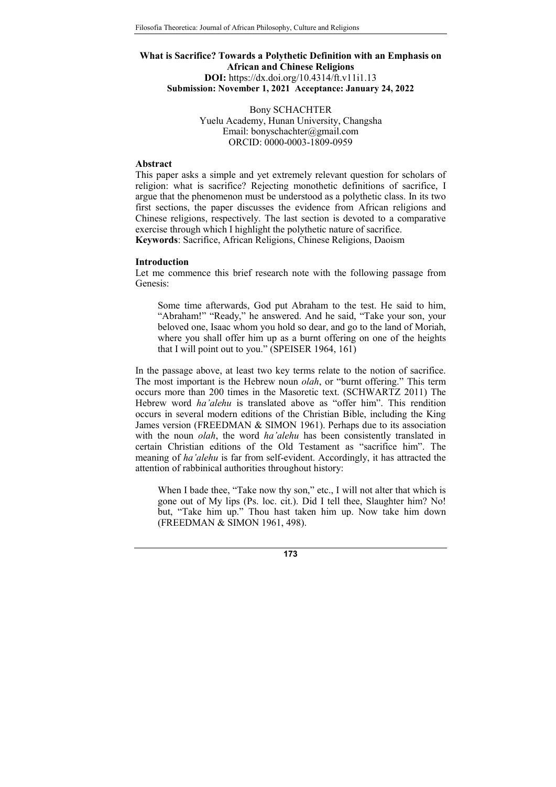## What is Sacrifice? Towards a Polythetic Definition with an Emphasis on African and Chinese Religions DOI: https://dx.doi.org/10.4314/ft.v11i1.13 Submission: November 1, 2021 Acceptance: January 24, 2022

Bony SCHACHTER Yuelu Academy, Hunan University, Changsha Email: bonyschachter@gmail.com ORCID: 0000-0003-1809-0959

#### Abstract

This paper asks a simple and yet extremely relevant question for scholars of religion: what is sacrifice? Rejecting monothetic definitions of sacrifice, I argue that the phenomenon must be understood as a polythetic class. In its two first sections, the paper discusses the evidence from African religions and Chinese religions, respectively. The last section is devoted to a comparative exercise through which I highlight the polythetic nature of sacrifice. Keywords: Sacrifice, African Religions, Chinese Religions, Daoism

#### Introduction

Let me commence this brief research note with the following passage from Genesis:

Some time afterwards, God put Abraham to the test. He said to him, "Abraham!" "Ready," he answered. And he said, "Take your son, your beloved one, Isaac whom you hold so dear, and go to the land of Moriah, where you shall offer him up as a burnt offering on one of the heights that I will point out to you." (SPEISER 1964, 161)

In the passage above, at least two key terms relate to the notion of sacrifice. The most important is the Hebrew noun *olah*, or "burnt offering." This term occurs more than 200 times in the Masoretic text. (SCHWARTZ 2011) The Hebrew word ha'alehu is translated above as "offer him". This rendition occurs in several modern editions of the Christian Bible, including the King James version (FREEDMAN & SIMON 1961). Perhaps due to its association with the noun *olah*, the word *ha'alehu* has been consistently translated in certain Christian editions of the Old Testament as "sacrifice him". The meaning of ha'alehu is far from self-evident. Accordingly, it has attracted the attention of rabbinical authorities throughout history:

When I bade thee, "Take now thy son," etc., I will not alter that which is gone out of My lips (Ps. loc. cit.). Did I tell thee, Slaughter him? No! but, "Take him up." Thou hast taken him up. Now take him down (FREEDMAN & SIMON 1961, 498).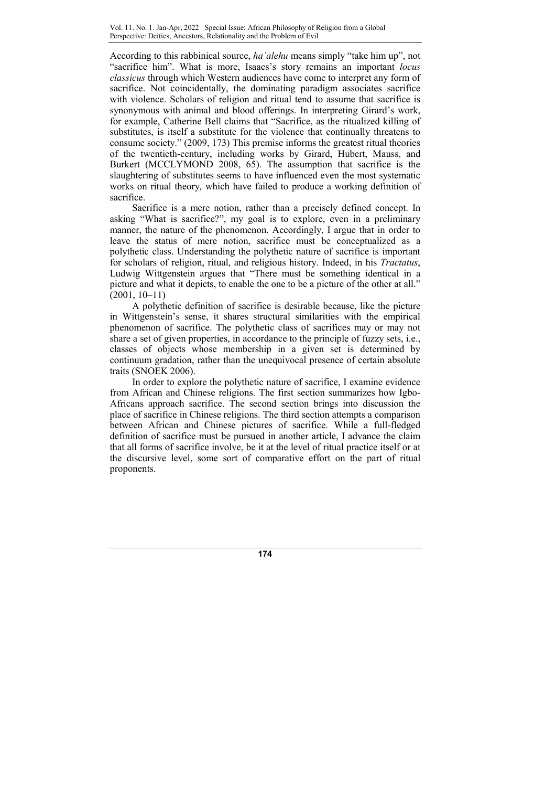According to this rabbinical source, ha'alehu means simply "take him up", not "sacrifice him". What is more, Isaacs's story remains an important locus classicus through which Western audiences have come to interpret any form of sacrifice. Not coincidentally, the dominating paradigm associates sacrifice with violence. Scholars of religion and ritual tend to assume that sacrifice is synonymous with animal and blood offerings. In interpreting Girard's work, for example, Catherine Bell claims that "Sacrifice, as the ritualized killing of substitutes, is itself a substitute for the violence that continually threatens to consume society." (2009, 173) This premise informs the greatest ritual theories of the twentieth-century, including works by Girard, Hubert, Mauss, and Burkert (MCCLYMOND 2008, 65). The assumption that sacrifice is the slaughtering of substitutes seems to have influenced even the most systematic works on ritual theory, which have failed to produce a working definition of sacrifice.

Sacrifice is a mere notion, rather than a precisely defined concept. In asking "What is sacrifice?", my goal is to explore, even in a preliminary manner, the nature of the phenomenon. Accordingly, I argue that in order to leave the status of mere notion, sacrifice must be conceptualized as a polythetic class. Understanding the polythetic nature of sacrifice is important for scholars of religion, ritual, and religious history. Indeed, in his Tractatus, Ludwig Wittgenstein argues that "There must be something identical in a picture and what it depicts, to enable the one to be a picture of the other at all." (2001, 10–11)

A polythetic definition of sacrifice is desirable because, like the picture in Wittgenstein's sense, it shares structural similarities with the empirical phenomenon of sacrifice. The polythetic class of sacrifices may or may not share a set of given properties, in accordance to the principle of fuzzy sets, i.e., classes of objects whose membership in a given set is determined by continuum gradation, rather than the unequivocal presence of certain absolute traits (SNOEK 2006).

In order to explore the polythetic nature of sacrifice, I examine evidence from African and Chinese religions. The first section summarizes how Igbo-Africans approach sacrifice. The second section brings into discussion the place of sacrifice in Chinese religions. The third section attempts a comparison between African and Chinese pictures of sacrifice. While a full-fledged definition of sacrifice must be pursued in another article, I advance the claim that all forms of sacrifice involve, be it at the level of ritual practice itself or at the discursive level, some sort of comparative effort on the part of ritual proponents.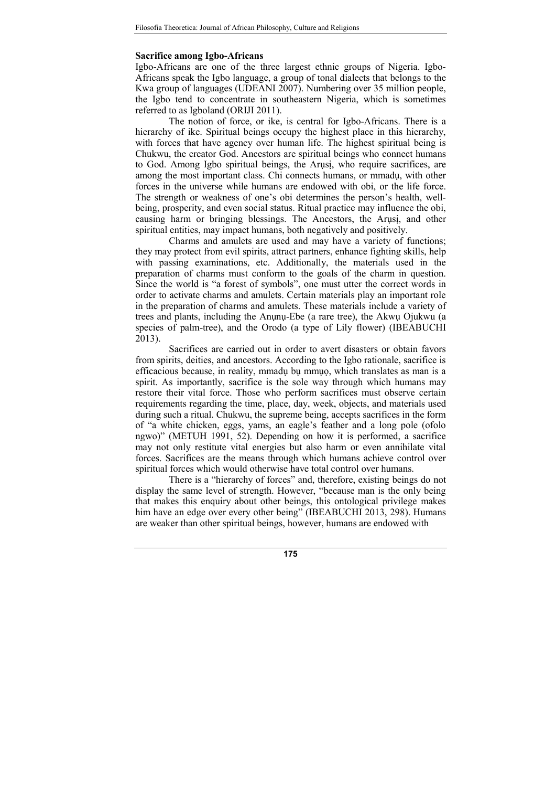### Sacrifice among Igbo-Africans

Igbo-Africans are one of the three largest ethnic groups of Nigeria. Igbo-Africans speak the Igbo language, a group of tonal dialects that belongs to the Kwa group of languages (UDEANI 2007). Numbering over 35 million people, the Igbo tend to concentrate in southeastern Nigeria, which is sometimes referred to as Igboland (ORIJI 2011).

The notion of force, or ike, is central for Igbo-Africans. There is a hierarchy of ike. Spiritual beings occupy the highest place in this hierarchy, with forces that have agency over human life. The highest spiritual being is Chukwu, the creator God. Ancestors are spiritual beings who connect humans to God. Among Igbo spiritual beings, the Arusi, who require sacrifices, are among the most important class. Chi connects humans, or mmadụ, with other forces in the universe while humans are endowed with obi, or the life force. The strength or weakness of one's obi determines the person's health, wellbeing, prosperity, and even social status. Ritual practice may influence the obi, causing harm or bringing blessings. The Ancestors, the Arụsị, and other spiritual entities, may impact humans, both negatively and positively.

Charms and amulets are used and may have a variety of functions; they may protect from evil spirits, attract partners, enhance fighting skills, help with passing examinations, etc. Additionally, the materials used in the preparation of charms must conform to the goals of the charm in question. Since the world is "a forest of symbols", one must utter the correct words in order to activate charms and amulets. Certain materials play an important role in the preparation of charms and amulets. These materials include a variety of trees and plants, including the Anụnụ-Ebe (a rare tree), the Akwụ Ojukwu (a species of palm-tree), and the Orodo (a type of Lily flower) (IBEABUCHI 2013).

Sacrifices are carried out in order to avert disasters or obtain favors from spirits, deities, and ancestors. According to the Igbo rationale, sacrifice is efficacious because, in reality, mmadụ bụ mmụọ, which translates as man is a spirit. As importantly, sacrifice is the sole way through which humans may restore their vital force. Those who perform sacrifices must observe certain requirements regarding the time, place, day, week, objects, and materials used during such a ritual. Chukwu, the supreme being, accepts sacrifices in the form of "a white chicken, eggs, yams, an eagle's feather and a long pole (ofolo ngwo)" (METUH 1991, 52). Depending on how it is performed, a sacrifice may not only restitute vital energies but also harm or even annihilate vital forces. Sacrifices are the means through which humans achieve control over spiritual forces which would otherwise have total control over humans.

There is a "hierarchy of forces" and, therefore, existing beings do not display the same level of strength. However, "because man is the only being that makes this enquiry about other beings, this ontological privilege makes him have an edge over every other being" (IBEABUCHI 2013, 298). Humans are weaker than other spiritual beings, however, humans are endowed with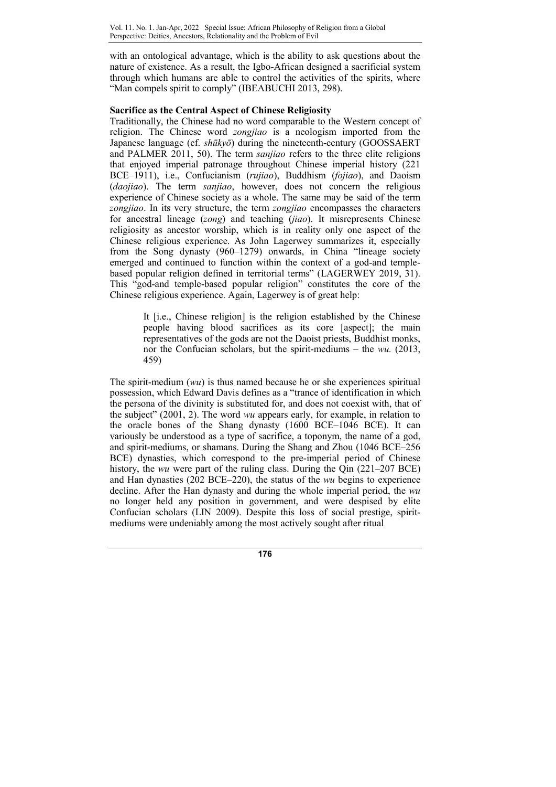with an ontological advantage, which is the ability to ask questions about the nature of existence. As a result, the Igbo-African designed a sacrificial system through which humans are able to control the activities of the spirits, where "Man compels spirit to comply" (IBEABUCHI 2013, 298).

# Sacrifice as the Central Aspect of Chinese Religiosity

Traditionally, the Chinese had no word comparable to the Western concept of religion. The Chinese word zongjiao is a neologism imported from the Japanese language (cf. shūkyō) during the nineteenth-century (GOOSSAERT and PALMER 2011, 50). The term sanjiao refers to the three elite religions that enjoyed imperial patronage throughout Chinese imperial history (221 BCE–1911), i.e., Confucianism (rujiao), Buddhism (fojiao), and Daoism (daojiao). The term sanjiao, however, does not concern the religious experience of Chinese society as a whole. The same may be said of the term zongjiao. In its very structure, the term zongjiao encompasses the characters for ancestral lineage (zong) and teaching (jiao). It misrepresents Chinese religiosity as ancestor worship, which is in reality only one aspect of the Chinese religious experience. As John Lagerwey summarizes it, especially from the Song dynasty (960–1279) onwards, in China "lineage society emerged and continued to function within the context of a god-and templebased popular religion defined in territorial terms" (LAGERWEY 2019, 31). This "god-and temple-based popular religion" constitutes the core of the Chinese religious experience. Again, Lagerwey is of great help:

> It [i.e., Chinese religion] is the religion established by the Chinese people having blood sacrifices as its core [aspect]; the main representatives of the gods are not the Daoist priests, Buddhist monks, nor the Confucian scholars, but the spirit-mediums – the wu. (2013, 459)

The spirit-medium (wu) is thus named because he or she experiences spiritual possession, which Edward Davis defines as a "trance of identification in which the persona of the divinity is substituted for, and does not coexist with, that of the subject" (2001, 2). The word wu appears early, for example, in relation to the oracle bones of the Shang dynasty (1600 BCE–1046 BCE). It can variously be understood as a type of sacrifice, a toponym, the name of a god, and spirit-mediums, or shamans. During the Shang and Zhou (1046 BCE–256 BCE) dynasties, which correspond to the pre-imperial period of Chinese history, the *wu* were part of the ruling class. During the Qin (221–207 BCE) and Han dynasties (202 BCE–220), the status of the wu begins to experience decline. After the Han dynasty and during the whole imperial period, the *wu* no longer held any position in government, and were despised by elite Confucian scholars (LIN 2009). Despite this loss of social prestige, spiritmediums were undeniably among the most actively sought after ritual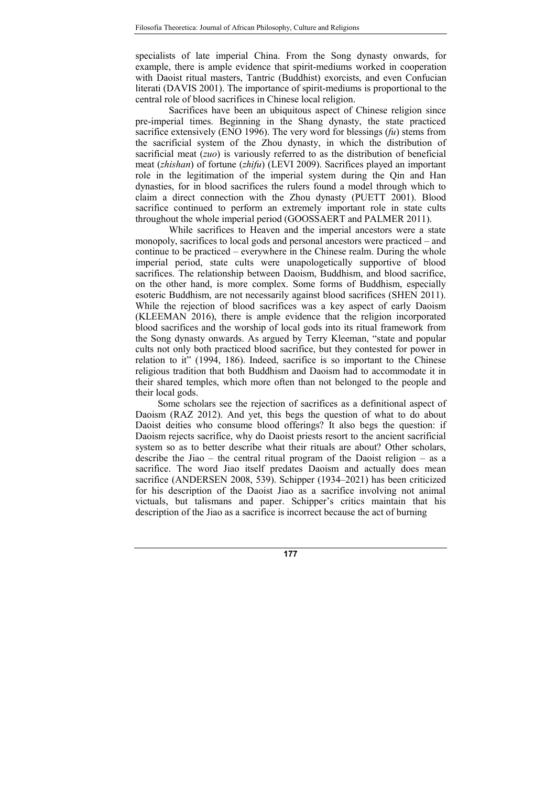specialists of late imperial China. From the Song dynasty onwards, for example, there is ample evidence that spirit-mediums worked in cooperation with Daoist ritual masters, Tantric (Buddhist) exorcists, and even Confucian literati (DAVIS 2001). The importance of spirit-mediums is proportional to the central role of blood sacrifices in Chinese local religion.

Sacrifices have been an ubiquitous aspect of Chinese religion since pre-imperial times. Beginning in the Shang dynasty, the state practiced sacrifice extensively (ENO 1996). The very word for blessings  $f(u)$  stems from the sacrificial system of the Zhou dynasty, in which the distribution of sacrificial meat (*zuo*) is variously referred to as the distribution of beneficial meat (zhishan) of fortune (zhifu) (LEVI 2009). Sacrifices played an important role in the legitimation of the imperial system during the Qin and Han dynasties, for in blood sacrifices the rulers found a model through which to claim a direct connection with the Zhou dynasty (PUETT 2001). Blood sacrifice continued to perform an extremely important role in state cults throughout the whole imperial period (GOOSSAERT and PALMER 2011).

While sacrifices to Heaven and the imperial ancestors were a state monopoly, sacrifices to local gods and personal ancestors were practiced – and continue to be practiced – everywhere in the Chinese realm. During the whole imperial period, state cults were unapologetically supportive of blood sacrifices. The relationship between Daoism, Buddhism, and blood sacrifice, on the other hand, is more complex. Some forms of Buddhism, especially esoteric Buddhism, are not necessarily against blood sacrifices (SHEN 2011). While the rejection of blood sacrifices was a key aspect of early Daoism (KLEEMAN 2016), there is ample evidence that the religion incorporated blood sacrifices and the worship of local gods into its ritual framework from the Song dynasty onwards. As argued by Terry Kleeman, "state and popular cults not only both practiced blood sacrifice, but they contested for power in relation to it" (1994, 186). Indeed, sacrifice is so important to the Chinese religious tradition that both Buddhism and Daoism had to accommodate it in their shared temples, which more often than not belonged to the people and their local gods.

Some scholars see the rejection of sacrifices as a definitional aspect of Daoism (RAZ 2012). And yet, this begs the question of what to do about Daoist deities who consume blood offerings? It also begs the question: if Daoism rejects sacrifice, why do Daoist priests resort to the ancient sacrificial system so as to better describe what their rituals are about? Other scholars, describe the Jiao – the central ritual program of the Daoist religion – as a sacrifice. The word Jiao itself predates Daoism and actually does mean sacrifice (ANDERSEN 2008, 539). Schipper (1934–2021) has been criticized for his description of the Daoist Jiao as a sacrifice involving not animal victuals, but talismans and paper. Schipper's critics maintain that his description of the Jiao as a sacrifice is incorrect because the act of burning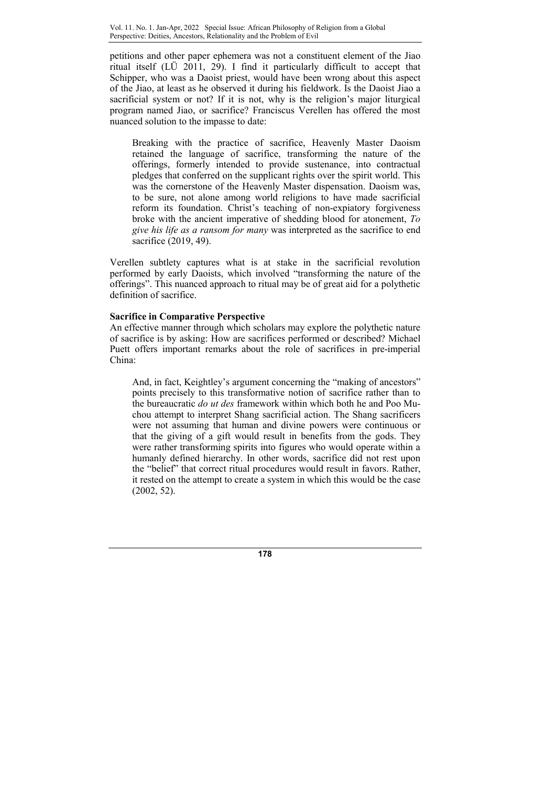petitions and other paper ephemera was not a constituent element of the Jiao ritual itself (LÜ 2011, 29). I find it particularly difficult to accept that Schipper, who was a Daoist priest, would have been wrong about this aspect of the Jiao, at least as he observed it during his fieldwork. Is the Daoist Jiao a sacrificial system or not? If it is not, why is the religion's major liturgical program named Jiao, or sacrifice? Franciscus Verellen has offered the most nuanced solution to the impasse to date:

Breaking with the practice of sacrifice, Heavenly Master Daoism retained the language of sacrifice, transforming the nature of the offerings, formerly intended to provide sustenance, into contractual pledges that conferred on the supplicant rights over the spirit world. This was the cornerstone of the Heavenly Master dispensation. Daoism was, to be sure, not alone among world religions to have made sacrificial reform its foundation. Christ's teaching of non-expiatory forgiveness broke with the ancient imperative of shedding blood for atonement, To give his life as a ransom for many was interpreted as the sacrifice to end sacrifice (2019, 49).

Verellen subtlety captures what is at stake in the sacrificial revolution performed by early Daoists, which involved "transforming the nature of the offerings". This nuanced approach to ritual may be of great aid for a polythetic definition of sacrifice.

# Sacrifice in Comparative Perspective

An effective manner through which scholars may explore the polythetic nature of sacrifice is by asking: How are sacrifices performed or described? Michael Puett offers important remarks about the role of sacrifices in pre-imperial China:

And, in fact, Keightley's argument concerning the "making of ancestors" points precisely to this transformative notion of sacrifice rather than to the bureaucratic do ut des framework within which both he and Poo Muchou attempt to interpret Shang sacrificial action. The Shang sacrificers were not assuming that human and divine powers were continuous or that the giving of a gift would result in benefits from the gods. They were rather transforming spirits into figures who would operate within a humanly defined hierarchy. In other words, sacrifice did not rest upon the "belief" that correct ritual procedures would result in favors. Rather, it rested on the attempt to create a system in which this would be the case (2002, 52).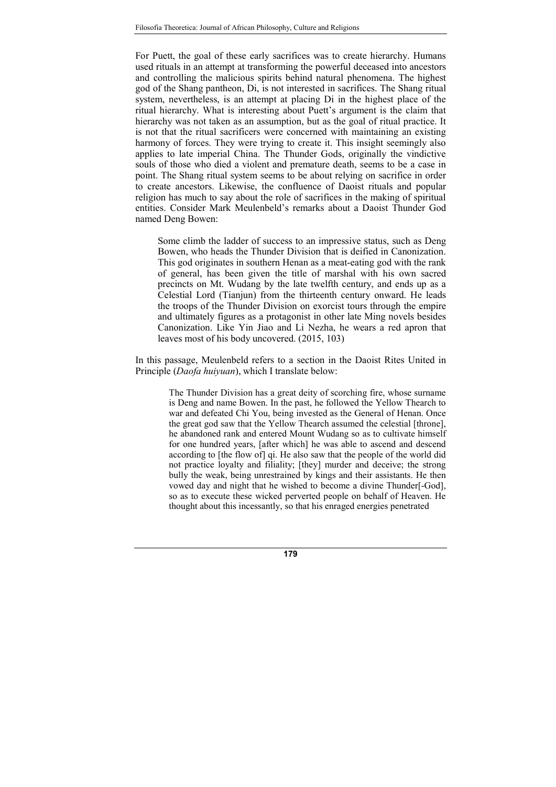For Puett, the goal of these early sacrifices was to create hierarchy. Humans used rituals in an attempt at transforming the powerful deceased into ancestors and controlling the malicious spirits behind natural phenomena. The highest god of the Shang pantheon, Di, is not interested in sacrifices. The Shang ritual system, nevertheless, is an attempt at placing Di in the highest place of the ritual hierarchy. What is interesting about Puett's argument is the claim that hierarchy was not taken as an assumption, but as the goal of ritual practice. It is not that the ritual sacrificers were concerned with maintaining an existing harmony of forces. They were trying to create it. This insight seemingly also applies to late imperial China. The Thunder Gods, originally the vindictive souls of those who died a violent and premature death, seems to be a case in point. The Shang ritual system seems to be about relying on sacrifice in order to create ancestors. Likewise, the confluence of Daoist rituals and popular religion has much to say about the role of sacrifices in the making of spiritual entities. Consider Mark Meulenbeld's remarks about a Daoist Thunder God named Deng Bowen:

Some climb the ladder of success to an impressive status, such as Deng Bowen, who heads the Thunder Division that is deified in Canonization. This god originates in southern Henan as a meat-eating god with the rank of general, has been given the title of marshal with his own sacred precincts on Mt. Wudang by the late twelfth century, and ends up as a Celestial Lord (Tianjun) from the thirteenth century onward. He leads the troops of the Thunder Division on exorcist tours through the empire and ultimately figures as a protagonist in other late Ming novels besides Canonization. Like Yin Jiao and Li Nezha, he wears a red apron that leaves most of his body uncovered. (2015, 103)

In this passage, Meulenbeld refers to a section in the Daoist Rites United in Principle (Daofa huiyuan), which I translate below:

> The Thunder Division has a great deity of scorching fire, whose surname is Deng and name Bowen. In the past, he followed the Yellow Thearch to war and defeated Chi You, being invested as the General of Henan. Once the great god saw that the Yellow Thearch assumed the celestial [throne], he abandoned rank and entered Mount Wudang so as to cultivate himself for one hundred years, [after which] he was able to ascend and descend according to [the flow of] qi. He also saw that the people of the world did not practice loyalty and filiality; [they] murder and deceive; the strong bully the weak, being unrestrained by kings and their assistants. He then vowed day and night that he wished to become a divine Thunder[-God], so as to execute these wicked perverted people on behalf of Heaven. He thought about this incessantly, so that his enraged energies penetrated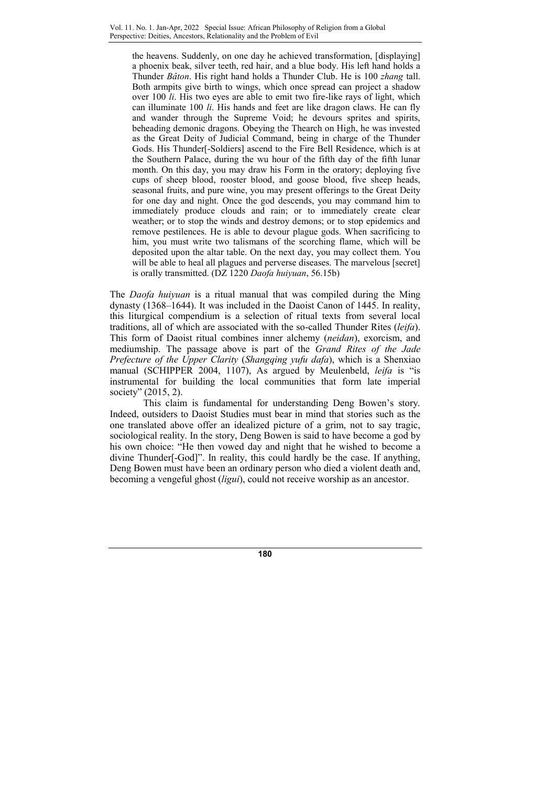the heavens. Suddenly, on one day he achieved transformation, [displaying] a phoenix beak, silver teeth, red hair, and a blue body. His left hand holds a Thunder Bâton. His right hand holds a Thunder Club. He is 100 zhang tall. Both armpits give birth to wings, which once spread can project a shadow over 100 li. His two eyes are able to emit two fire-like rays of light, which can illuminate 100 li. His hands and feet are like dragon claws. He can fly and wander through the Supreme Void; he devours sprites and spirits, beheading demonic dragons. Obeying the Thearch on High, he was invested as the Great Deity of Judicial Command, being in charge of the Thunder Gods. His Thunder[-Soldiers] ascend to the Fire Bell Residence, which is at the Southern Palace, during the wu hour of the fifth day of the fifth lunar month. On this day, you may draw his Form in the oratory; deploying five cups of sheep blood, rooster blood, and goose blood, five sheep heads, seasonal fruits, and pure wine, you may present offerings to the Great Deity for one day and night. Once the god descends, you may command him to immediately produce clouds and rain; or to immediately create clear weather; or to stop the winds and destroy demons; or to stop epidemics and remove pestilences. He is able to devour plague gods. When sacrificing to him, you must write two talismans of the scorching flame, which will be deposited upon the altar table. On the next day, you may collect them. You will be able to heal all plagues and perverse diseases. The marvelous [secret] is orally transmitted. (DZ 1220 Daofa huiyuan, 56.15b)

The *Daofa huiyuan* is a ritual manual that was compiled during the Ming dynasty (1368–1644). It was included in the Daoist Canon of 1445. In reality, this liturgical compendium is a selection of ritual texts from several local traditions, all of which are associated with the so-called Thunder Rites (leifa). This form of Daoist ritual combines inner alchemy (neidan), exorcism, and mediumship. The passage above is part of the Grand Rites of the Jade Prefecture of the Upper Clarity (Shangqing yufu dafa), which is a Shenxiao manual (SCHIPPER 2004, 1107), As argued by Meulenbeld, leifa is "is instrumental for building the local communities that form late imperial society" (2015, 2).

This claim is fundamental for understanding Deng Bowen's story. Indeed, outsiders to Daoist Studies must bear in mind that stories such as the one translated above offer an idealized picture of a grim, not to say tragic, sociological reality. In the story, Deng Bowen is said to have become a god by his own choice: "He then vowed day and night that he wished to become a divine Thunder[-God]". In reality, this could hardly be the case. If anything, Deng Bowen must have been an ordinary person who died a violent death and, becoming a vengeful ghost (ligui), could not receive worship as an ancestor.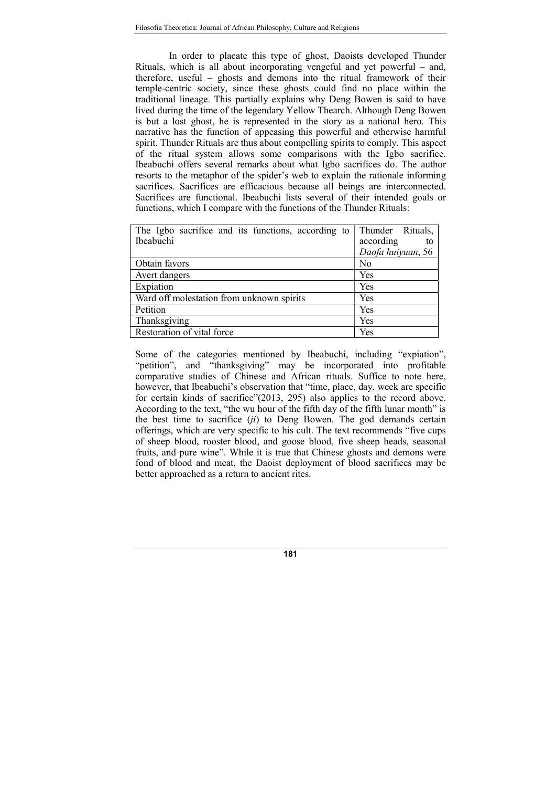In order to placate this type of ghost, Daoists developed Thunder Rituals, which is all about incorporating vengeful and yet powerful – and, therefore, useful – ghosts and demons into the ritual framework of their temple-centric society, since these ghosts could find no place within the traditional lineage. This partially explains why Deng Bowen is said to have lived during the time of the legendary Yellow Thearch. Although Deng Bowen is but a lost ghost, he is represented in the story as a national hero. This narrative has the function of appeasing this powerful and otherwise harmful spirit. Thunder Rituals are thus about compelling spirits to comply. This aspect of the ritual system allows some comparisons with the Igbo sacrifice. Ibeabuchi offers several remarks about what Igbo sacrifices do. The author resorts to the metaphor of the spider's web to explain the rationale informing sacrifices. Sacrifices are efficacious because all beings are interconnected. Sacrifices are functional. Ibeabuchi lists several of their intended goals or functions, which I compare with the functions of the Thunder Rituals:

| The Igbo sacrifice and its functions, according to | Thunder Rituals,  |
|----------------------------------------------------|-------------------|
| <b>Ibeabuchi</b>                                   | according         |
|                                                    | Daofa huiyuan, 56 |
| Obtain favors                                      | N <sub>0</sub>    |
| Avert dangers                                      | Yes               |
| Expiation                                          | Yes               |
| Ward off molestation from unknown spirits          | Yes               |
| Petition                                           | Yes               |
| Thanksgiving                                       | Yes               |
| Restoration of vital force                         | Yes               |

Some of the categories mentioned by Ibeabuchi, including "expiation", "petition", and "thanksgiving" may be incorporated into profitable comparative studies of Chinese and African rituals. Suffice to note here, however, that Ibeabuchi's observation that "time, place, day, week are specific for certain kinds of sacrifice"(2013, 295) also applies to the record above. According to the text, "the wu hour of the fifth day of the fifth lunar month" is the best time to sacrifice  $(ii)$  to Deng Bowen. The god demands certain offerings, which are very specific to his cult. The text recommends "five cups of sheep blood, rooster blood, and goose blood, five sheep heads, seasonal fruits, and pure wine". While it is true that Chinese ghosts and demons were fond of blood and meat, the Daoist deployment of blood sacrifices may be better approached as a return to ancient rites.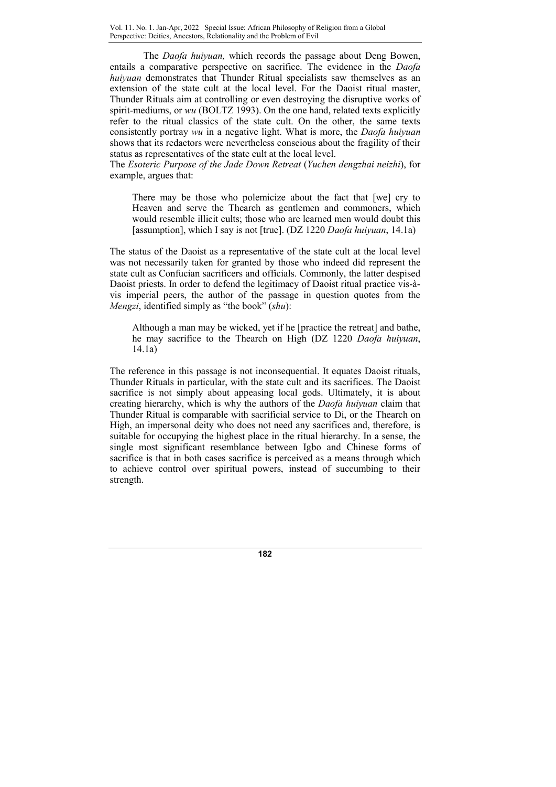The Daofa huiyuan, which records the passage about Deng Bowen, entails a comparative perspective on sacrifice. The evidence in the Daofa huiyuan demonstrates that Thunder Ritual specialists saw themselves as an extension of the state cult at the local level. For the Daoist ritual master, Thunder Rituals aim at controlling or even destroying the disruptive works of spirit-mediums, or wu (BOLTZ 1993). On the one hand, related texts explicitly refer to the ritual classics of the state cult. On the other, the same texts consistently portray wu in a negative light. What is more, the Daofa huiyuan shows that its redactors were nevertheless conscious about the fragility of their status as representatives of the state cult at the local level.

The Esoteric Purpose of the Jade Down Retreat (Yuchen dengzhai neizhi), for example, argues that:

There may be those who polemicize about the fact that [we] cry to Heaven and serve the Thearch as gentlemen and commoners, which would resemble illicit cults; those who are learned men would doubt this [assumption], which I say is not [true]. (DZ 1220 Daofa huiyuan, 14.1a)

The status of the Daoist as a representative of the state cult at the local level was not necessarily taken for granted by those who indeed did represent the state cult as Confucian sacrificers and officials. Commonly, the latter despised Daoist priests. In order to defend the legitimacy of Daoist ritual practice vis-àvis imperial peers, the author of the passage in question quotes from the Mengzi, identified simply as "the book" (shu):

Although a man may be wicked, yet if he [practice the retreat] and bathe, he may sacrifice to the Thearch on High (DZ 1220 Daofa huiyuan, 14.1a)

The reference in this passage is not inconsequential. It equates Daoist rituals, Thunder Rituals in particular, with the state cult and its sacrifices. The Daoist sacrifice is not simply about appeasing local gods. Ultimately, it is about creating hierarchy, which is why the authors of the Daofa huiyuan claim that Thunder Ritual is comparable with sacrificial service to Di, or the Thearch on High, an impersonal deity who does not need any sacrifices and, therefore, is suitable for occupying the highest place in the ritual hierarchy. In a sense, the single most significant resemblance between Igbo and Chinese forms of sacrifice is that in both cases sacrifice is perceived as a means through which to achieve control over spiritual powers, instead of succumbing to their strength.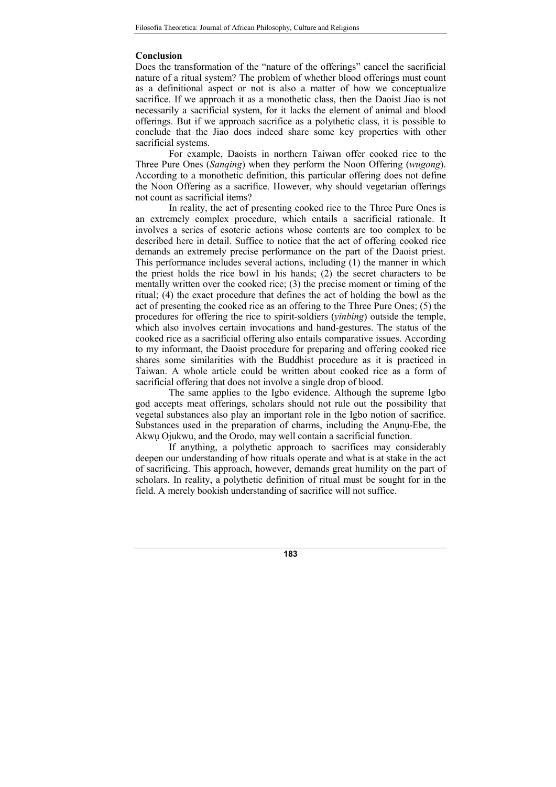#### Conclusion

Does the transformation of the "nature of the offerings" cancel the sacrificial nature of a ritual system? The problem of whether blood offerings must count as a definitional aspect or not is also a matter of how we conceptualize sacrifice. If we approach it as a monothetic class, then the Daoist Jiao is not necessarily a sacrificial system, for it lacks the element of animal and blood offerings. But if we approach sacrifice as a polythetic class, it is possible to conclude that the Jiao does indeed share some key properties with other sacrificial systems.

For example, Daoists in northern Taiwan offer cooked rice to the Three Pure Ones (Sanqing) when they perform the Noon Offering (wugong). According to a monothetic definition, this particular offering does not define the Noon Offering as a sacrifice. However, why should vegetarian offerings not count as sacrificial items?

In reality, the act of presenting cooked rice to the Three Pure Ones is an extremely complex procedure, which entails a sacrificial rationale. It involves a series of esoteric actions whose contents are too complex to be described here in detail. Suffice to notice that the act of offering cooked rice demands an extremely precise performance on the part of the Daoist priest. This performance includes several actions, including (1) the manner in which the priest holds the rice bowl in his hands; (2) the secret characters to be mentally written over the cooked rice; (3) the precise moment or timing of the ritual; (4) the exact procedure that defines the act of holding the bowl as the act of presenting the cooked rice as an offering to the Three Pure Ones; (5) the procedures for offering the rice to spirit-soldiers (yinbing) outside the temple, which also involves certain invocations and hand-gestures. The status of the cooked rice as a sacrificial offering also entails comparative issues. According to my informant, the Daoist procedure for preparing and offering cooked rice shares some similarities with the Buddhist procedure as it is practiced in Taiwan. A whole article could be written about cooked rice as a form of sacrificial offering that does not involve a single drop of blood.

The same applies to the Igbo evidence. Although the supreme Igbo god accepts meat offerings, scholars should not rule out the possibility that vegetal substances also play an important role in the Igbo notion of sacrifice. Substances used in the preparation of charms, including the Anunu-Ebe, the Akwụ Ojukwu, and the Orodo, may well contain a sacrificial function.

If anything, a polythetic approach to sacrifices may considerably deepen our understanding of how rituals operate and what is at stake in the act of sacrificing. This approach, however, demands great humility on the part of scholars. In reality, a polythetic definition of ritual must be sought for in the field. A merely bookish understanding of sacrifice will not suffice.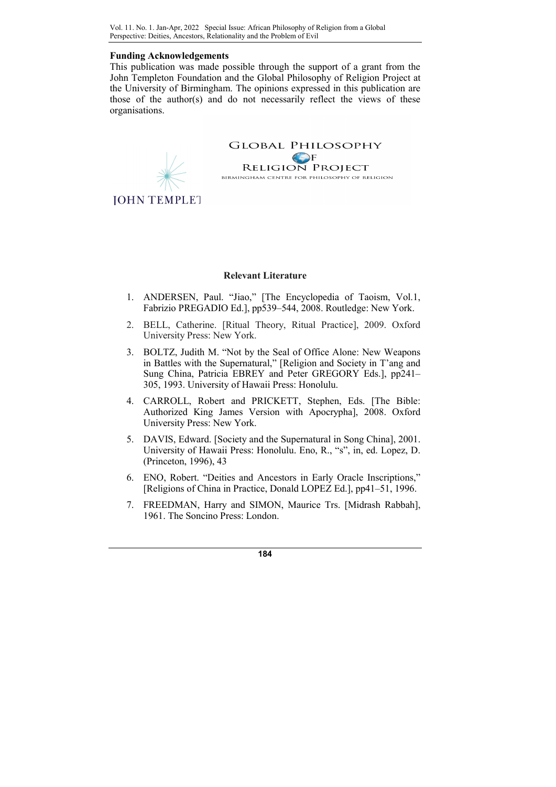# Funding Acknowledgements

This publication was made possible through the support of a grant from the John Templeton Foundation and the Global Philosophy of Religion Project at the University of Birmingham. The opinions expressed in this publication are those of the author(s) and do not necessarily reflect the views of these organisations.



**JOHN TEMPLET** 

#### Relevant Literature

- 1. ANDERSEN, Paul. "Jiao," [The Encyclopedia of Taoism, Vol.1, Fabrizio PREGADIO Ed.], pp539–544, 2008. Routledge: New York.
- 2. BELL, Catherine. [Ritual Theory, Ritual Practice], 2009. Oxford University Press: New York.
- 3. BOLTZ, Judith M. "Not by the Seal of Office Alone: New Weapons in Battles with the Supernatural," [Religion and Society in T'ang and Sung China, Patricia EBREY and Peter GREGORY Eds.], pp241– 305, 1993. University of Hawaii Press: Honolulu.
- 4. CARROLL, Robert and PRICKETT, Stephen, Eds. [The Bible: Authorized King James Version with Apocrypha], 2008. Oxford University Press: New York.
- 5. DAVIS, Edward. [Society and the Supernatural in Song China], 2001. University of Hawaii Press: Honolulu. Eno, R., "s", in, ed. Lopez, D. (Princeton, 1996), 43
- 6. ENO, Robert. "Deities and Ancestors in Early Oracle Inscriptions," [Religions of China in Practice, Donald LOPEZ Ed.], pp41–51, 1996.
- 7. FREEDMAN, Harry and SIMON, Maurice Trs. [Midrash Rabbah], 1961. The Soncino Press: London.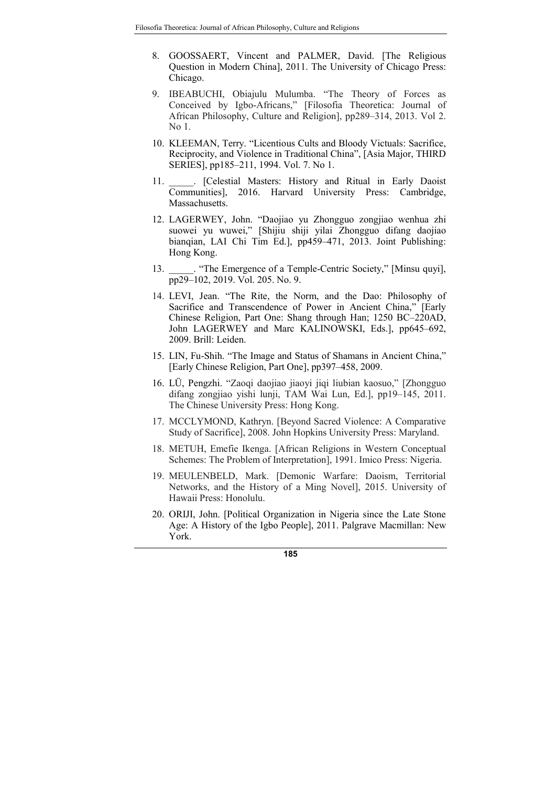- 8. GOOSSAERT, Vincent and PALMER, David. [The Religious Question in Modern China], 2011. The University of Chicago Press: Chicago.
- 9. IBEABUCHI, Obiajulu Mulumba. "The Theory of Forces as Conceived by Igbo-Africans," [Filosofia Theoretica: Journal of African Philosophy, Culture and Religion], pp289–314, 2013. Vol 2. No 1.
- 10. KLEEMAN, Terry. "Licentious Cults and Bloody Victuals: Sacrifice, Reciprocity, and Violence in Traditional China", [Asia Major, THIRD SERIES], pp185–211, 1994. Vol. 7. No 1.
- 11. Celestial Masters: History and Ritual in Early Daoist Communities], 2016. Harvard University Press: Cambridge, Massachusetts.
- 12. LAGERWEY, John. "Daojiao yu Zhongguo zongjiao wenhua zhi suowei yu wuwei," [Shijiu shiji yilai Zhongguo difang daojiao bianqian, LAI Chi Tim Ed.], pp459–471, 2013. Joint Publishing: Hong Kong.
- 13. The Emergence of a Temple-Centric Society," [Minsu quyi], pp29–102, 2019. Vol. 205. No. 9.
- 14. LEVI, Jean. "The Rite, the Norm, and the Dao: Philosophy of Sacrifice and Transcendence of Power in Ancient China," [Early Chinese Religion, Part One: Shang through Han; 1250 BC–220AD, John LAGERWEY and Marc KALINOWSKI, Eds.], pp645–692, 2009. Brill: Leiden.
- 15. LIN, Fu-Shih. "The Image and Status of Shamans in Ancient China," [Early Chinese Religion, Part One], pp397–458, 2009.
- 16. LÜ, Pengzhi. "Zaoqi daojiao jiaoyi jiqi liubian kaosuo," [Zhongguo difang zongjiao yishi lunji, TAM Wai Lun, Ed.], pp19–145, 2011. The Chinese University Press: Hong Kong.
- 17. MCCLYMOND, Kathryn. [Beyond Sacred Violence: A Comparative Study of Sacrifice], 2008. John Hopkins University Press: Maryland.
- 18. METUH, Emefie Ikenga. [African Religions in Western Conceptual Schemes: The Problem of Interpretation], 1991. Imico Press: Nigeria.
- 19. MEULENBELD, Mark. [Demonic Warfare: Daoism, Territorial Networks, and the History of a Ming Novel], 2015. University of Hawaii Press: Honolulu.
- 20. ORIJI, John. [Political Organization in Nigeria since the Late Stone Age: A History of the Igbo People], 2011. Palgrave Macmillan: New York.